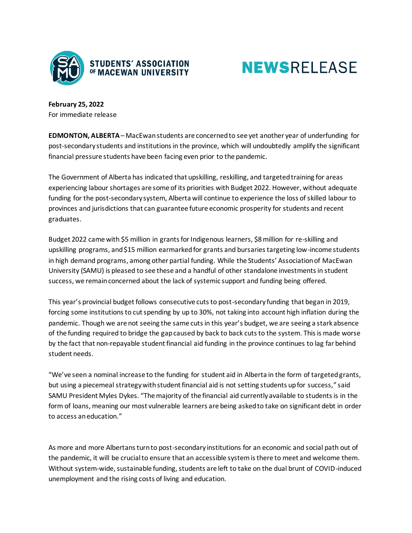



**February 25, 2022** For immediate release

**EDMONTON, ALBERTA**– MacEwan students are concerned to see yet another year of underfunding for post-secondary students and institutions in the province, which will undoubtedly amplify the significant financial pressure students have been facing even prior to the pandemic.

The Government of Alberta has indicated that upskilling, reskilling, and targeted training for areas experiencing labour shortages are some of its priorities with Budget 2022. However, without adequate funding for the post-secondary system, Alberta will continue to experience the loss of skilled labour to provinces and jurisdictions that can guarantee future economic prosperity for students and recent graduates.

Budget 2022 came with \$5 million in grants for Indigenous learners, \$8 million for re-skilling and upskilling programs, and \$15 million earmarked for grants and bursaries targeting low-income students in high demand programs, among other partial funding. While the Students' Association of MacEwan University (SAMU) is pleased to see these and a handful of other standalone investments in student success, we remain concerned about the lack of systemic support and funding being offered.

This year's provincial budget follows consecutive cuts to post-secondary funding that began in 2019, forcing some institutions to cut spending by up to 30%, not taking into account high inflation during the pandemic. Though we are not seeing the same cuts in this year's budget, we are seeing a stark absence of the funding required to bridge the gap caused by back to back cuts to the system. This is made worse by the fact that non-repayable student financial aid funding in the province continues to lag far behind student needs.

"We've seen a nominal increase to the funding for student aid in Alberta in the form of targeted grants, but using a piecemeal strategy with student financial aid is not setting students up for success," said SAMU President Myles Dykes. "The majority of the financial aid currently available to students is in the form of loans, meaning our most vulnerable learners are being asked to take on significant debt in order to access an education."

As more and more Albertans turn to post-secondary institutions for an economic and social path out of the pandemic, it will be crucial to ensure that an accessible system is there to meet and welcome them. Without system-wide, sustainable funding, students are left to take on the dual brunt of COVID-induced unemployment and the rising costs of living and education.